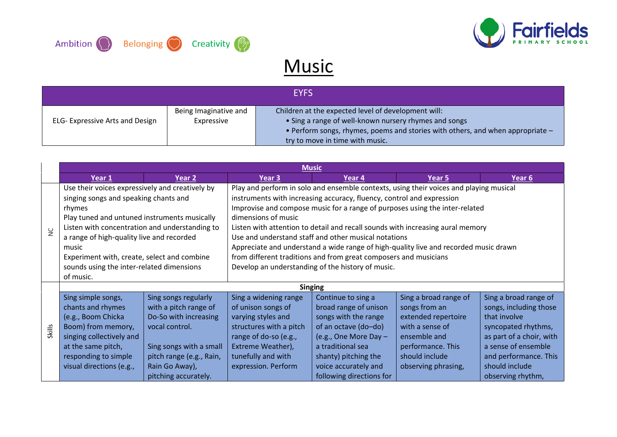



## **Music**

|                                        |                                     | <b>EYFS</b>                                                                                                                                                                                                                       |
|----------------------------------------|-------------------------------------|-----------------------------------------------------------------------------------------------------------------------------------------------------------------------------------------------------------------------------------|
| <b>ELG- Expressive Arts and Design</b> | Being Imaginative and<br>Expressive | Children at the expected level of development will:<br>• Sing a range of well-known nursery rhymes and songs<br>• Perform songs, rhymes, poems and stories with others, and when appropriate -<br>try to move in time with music. |

| <b>Music</b>     |                                                                                                                                                                                                                                                                                                                                                                     |                                                                                                                                                                                           |                                                                                                                                                                                                                                                                                                                                                                                                                                                                                                                                                                                                                                  |                                                                                                                                                                                                                                         |                                                                                                                                                                |                                                                                                                                                                                                           |
|------------------|---------------------------------------------------------------------------------------------------------------------------------------------------------------------------------------------------------------------------------------------------------------------------------------------------------------------------------------------------------------------|-------------------------------------------------------------------------------------------------------------------------------------------------------------------------------------------|----------------------------------------------------------------------------------------------------------------------------------------------------------------------------------------------------------------------------------------------------------------------------------------------------------------------------------------------------------------------------------------------------------------------------------------------------------------------------------------------------------------------------------------------------------------------------------------------------------------------------------|-----------------------------------------------------------------------------------------------------------------------------------------------------------------------------------------------------------------------------------------|----------------------------------------------------------------------------------------------------------------------------------------------------------------|-----------------------------------------------------------------------------------------------------------------------------------------------------------------------------------------------------------|
|                  | Year 1                                                                                                                                                                                                                                                                                                                                                              | Year 2                                                                                                                                                                                    | Year 3                                                                                                                                                                                                                                                                                                                                                                                                                                                                                                                                                                                                                           | Year 4                                                                                                                                                                                                                                  | Year 5                                                                                                                                                         | Year 6                                                                                                                                                                                                    |
| $\sum_{i=1}^{n}$ | Use their voices expressively and creatively by<br>singing songs and speaking chants and<br>rhymes<br>Play tuned and untuned instruments musically<br>Listen with concentration and understanding to<br>a range of high-quality live and recorded<br>music<br>Experiment with, create, select and combine<br>sounds using the inter-related dimensions<br>of music. |                                                                                                                                                                                           | Play and perform in solo and ensemble contexts, using their voices and playing musical<br>instruments with increasing accuracy, fluency, control and expression<br>Improvise and compose music for a range of purposes using the inter-related<br>dimensions of music<br>Listen with attention to detail and recall sounds with increasing aural memory<br>Use and understand staff and other musical notations<br>Appreciate and understand a wide range of high-quality live and recorded music drawn<br>from different traditions and from great composers and musicians<br>Develop an understanding of the history of music. |                                                                                                                                                                                                                                         |                                                                                                                                                                |                                                                                                                                                                                                           |
| <b>Skills</b>    | Sing simple songs,<br>chants and rhymes<br>(e.g., Boom Chicka<br>Boom) from memory,<br>singing collectively and<br>at the same pitch,<br>responding to simple<br>visual directions (e.g.,                                                                                                                                                                           | Sing songs regularly<br>with a pitch range of<br>Do-So with increasing<br>vocal control.<br>Sing songs with a small<br>pitch range (e.g., Rain,<br>Rain Go Away),<br>pitching accurately. | Sing a widening range<br>of unison songs of<br>varying styles and<br>structures with a pitch<br>range of do-so (e.g.,<br>Extreme Weather),<br>tunefully and with<br>expression. Perform                                                                                                                                                                                                                                                                                                                                                                                                                                          | <b>Singing</b><br>Continue to sing a<br>broad range of unison<br>songs with the range<br>of an octave (do-do)<br>(e.g., One More Day -<br>a traditional sea<br>shanty) pitching the<br>voice accurately and<br>following directions for | Sing a broad range of<br>songs from an<br>extended repertoire<br>with a sense of<br>ensemble and<br>performance. This<br>should include<br>observing phrasing, | Sing a broad range of<br>songs, including those<br>that involve<br>syncopated rhythms,<br>as part of a choir, with<br>a sense of ensemble<br>and performance. This<br>should include<br>observing rhythm, |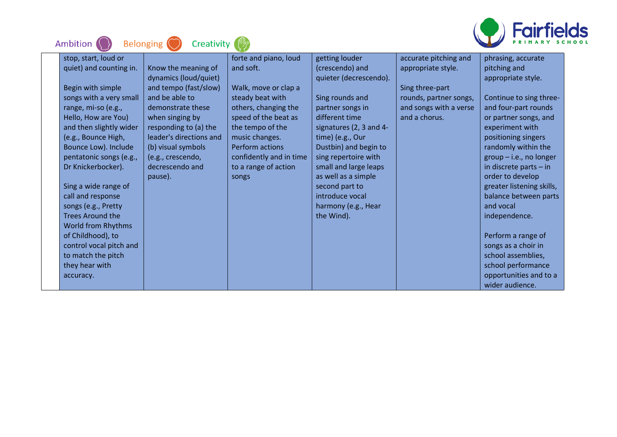

| Ambition<br>Creativity<br><b>Belonging</b> |                         |                         |                         |                        |                           |  |  |  |
|--------------------------------------------|-------------------------|-------------------------|-------------------------|------------------------|---------------------------|--|--|--|
| stop, start, loud or                       |                         | forte and piano, loud   | getting louder          | accurate pitching and  | phrasing, accurate        |  |  |  |
| quiet) and counting in.                    | Know the meaning of     | and soft.               | (crescendo) and         | appropriate style.     | pitching and              |  |  |  |
|                                            | dynamics (loud/quiet)   |                         | quieter (decrescendo).  |                        | appropriate style.        |  |  |  |
| Begin with simple                          | and tempo (fast/slow)   | Walk, move or clap a    |                         | Sing three-part        |                           |  |  |  |
| songs with a very small                    | and be able to          | steady beat with        | Sing rounds and         | rounds, partner songs, | Continue to sing three-   |  |  |  |
| range, mi-so (e.g.,                        | demonstrate these       | others, changing the    | partner songs in        | and songs with a verse | and four-part rounds      |  |  |  |
| Hello, How are You)                        | when singing by         | speed of the beat as    | different time          | and a chorus.          | or partner songs, and     |  |  |  |
| and then slightly wider                    | responding to (a) the   | the tempo of the        | signatures (2, 3 and 4- |                        | experiment with           |  |  |  |
| (e.g., Bounce High,                        | leader's directions and | music changes.          | time) (e.g., Our        |                        | positioning singers       |  |  |  |
| Bounce Low). Include                       | (b) visual symbols      | Perform actions         | Dustbin) and begin to   |                        | randomly within the       |  |  |  |
| pentatonic songs (e.g.,                    | (e.g., crescendo,       | confidently and in time | sing repertoire with    |                        | $group - i.e., no longer$ |  |  |  |
| Dr Knickerbocker).                         | decrescendo and         | to a range of action    | small and large leaps   |                        | in discrete parts $-$ in  |  |  |  |
|                                            | pause).                 | songs                   | as well as a simple     |                        | order to develop          |  |  |  |
| Sing a wide range of                       |                         |                         | second part to          |                        | greater listening skills, |  |  |  |
| call and response                          |                         |                         | introduce vocal         |                        | balance between parts     |  |  |  |
| songs (e.g., Pretty                        |                         |                         | harmony (e.g., Hear     |                        | and vocal                 |  |  |  |
| <b>Trees Around the</b>                    |                         |                         | the Wind).              |                        | independence.             |  |  |  |
| World from Rhythms                         |                         |                         |                         |                        |                           |  |  |  |
| of Childhood), to                          |                         |                         |                         |                        | Perform a range of        |  |  |  |
| control vocal pitch and                    |                         |                         |                         |                        | songs as a choir in       |  |  |  |
| to match the pitch                         |                         |                         |                         |                        | school assemblies,        |  |  |  |
| they hear with                             |                         |                         |                         |                        | school performance        |  |  |  |
| accuracy.                                  |                         |                         |                         |                        | opportunities and to a    |  |  |  |
|                                            |                         |                         |                         |                        | wider audience.           |  |  |  |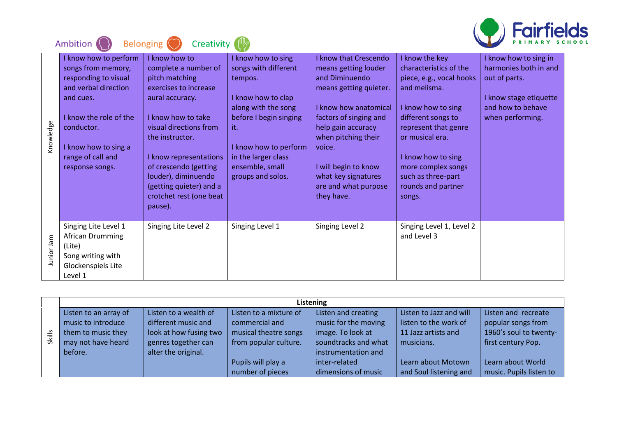

|            | Ambition                                                                                                                                                                                                         | <b>Belonging</b><br>Creativity                                                                                                                                                                                                                                                                                    |                                                                                                                                                                                                                             |                                                                                                                                                                                                                                                                                          |                                                                                                                                                                                                                                                                               | 111 II <del>C</del>                                                                                                                |
|------------|------------------------------------------------------------------------------------------------------------------------------------------------------------------------------------------------------------------|-------------------------------------------------------------------------------------------------------------------------------------------------------------------------------------------------------------------------------------------------------------------------------------------------------------------|-----------------------------------------------------------------------------------------------------------------------------------------------------------------------------------------------------------------------------|------------------------------------------------------------------------------------------------------------------------------------------------------------------------------------------------------------------------------------------------------------------------------------------|-------------------------------------------------------------------------------------------------------------------------------------------------------------------------------------------------------------------------------------------------------------------------------|------------------------------------------------------------------------------------------------------------------------------------|
| Knowledge  | I know how to perform<br>songs from memory,<br>responding to visual<br>and verbal direction<br>and cues.<br>I know the role of the<br>conductor.<br>I know how to sing a<br>range of call and<br>response songs. | I know how to<br>complete a number of<br>pitch matching<br>exercises to increase<br>aural accuracy.<br>I know how to take<br>visual directions from<br>the instructor.<br>I know representations<br>of crescendo (getting<br>louder), diminuendo<br>(getting quieter) and a<br>crotchet rest (one beat<br>pause). | I know how to sing<br>songs with different<br>tempos.<br>I know how to clap<br>along with the song<br>before I begin singing<br>it.<br>I know how to perform<br>in the larger class<br>ensemble, small<br>groups and solos. | I know that Crescendo<br>means getting louder<br>and Diminuendo<br>means getting quieter.<br>I know how anatomical<br>factors of singing and<br>help gain accuracy<br>when pitching their<br>voice.<br>I will begin to know<br>what key signatures<br>are and what purpose<br>they have. | I know the key<br>characteristics of the<br>piece, e.g., vocal hooks<br>and melisma.<br>I know how to sing<br>different songs to<br>represent that genre<br>or musical era.<br>I know how to sing<br>more complex songs<br>such as three-part<br>rounds and partner<br>songs. | I know how to sing in<br>harmonies both in and<br>out of parts.<br>I know stage etiquette<br>and how to behave<br>when performing. |
| Junior Jam | Singing Lite Level 1<br>African Drumming<br>(Lite)<br>Song writing with<br>Glockenspiels Lite<br>Level 1                                                                                                         | Singing Lite Level 2                                                                                                                                                                                                                                                                                              | Singing Level 1                                                                                                                                                                                                             | Singing Level 2                                                                                                                                                                                                                                                                          | Singing Level 1, Level 2<br>and Level 3                                                                                                                                                                                                                                       |                                                                                                                                    |

|        |                       |                        |                        | Listening            |                         |                         |
|--------|-----------------------|------------------------|------------------------|----------------------|-------------------------|-------------------------|
|        | Listen to an array of | Listen to a wealth of  | Listen to a mixture of | Listen and creating  | Listen to Jazz and will | Listen and recreate     |
|        | music to introduce    | different music and    | commercial and         | music for the moving | listen to the work of   | popular songs from      |
| Skills | them to music they    | look at how fusing two | musical theatre songs  | image. To look at    | 11 Jazz artists and     | 1960's soul to twenty-  |
|        | may not have heard    | genres together can    | from popular culture.  | soundtracks and what | musicians.              | first century Pop.      |
|        | before.               | alter the original.    |                        | instrumentation and  |                         |                         |
|        |                       |                        | Pupils will play a     | inter-related        | Learn about Motown      | Learn about World       |
|        |                       |                        | number of pieces       | dimensions of music  | and Soul listening and  | music. Pupils listen to |

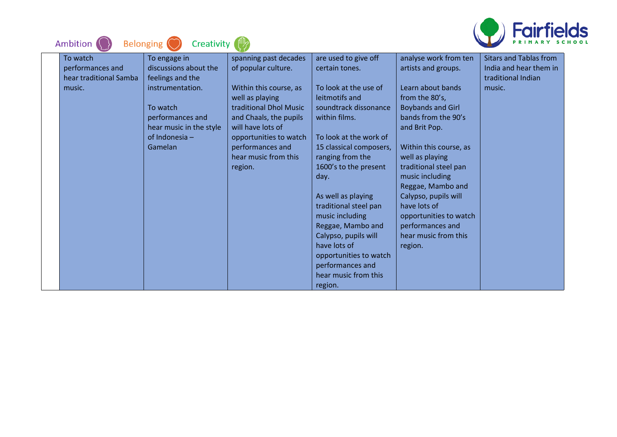

| <b>Belonging</b><br><b>Ambition</b>                              | Creativity                                                                                                                                                            |                                                                                                                                                                                                                                                     |                                                                                                                                                                                                                                                                                                                                                                                                                                                       |                                                                                                                                                                                                                                                                                                                                                                                                | ''''<br>RY SCI                                                                          |
|------------------------------------------------------------------|-----------------------------------------------------------------------------------------------------------------------------------------------------------------------|-----------------------------------------------------------------------------------------------------------------------------------------------------------------------------------------------------------------------------------------------------|-------------------------------------------------------------------------------------------------------------------------------------------------------------------------------------------------------------------------------------------------------------------------------------------------------------------------------------------------------------------------------------------------------------------------------------------------------|------------------------------------------------------------------------------------------------------------------------------------------------------------------------------------------------------------------------------------------------------------------------------------------------------------------------------------------------------------------------------------------------|-----------------------------------------------------------------------------------------|
| To watch<br>performances and<br>hear traditional Samba<br>music. | To engage in<br>discussions about the<br>feelings and the<br>instrumentation.<br>To watch<br>performances and<br>hear music in the style<br>of Indonesia -<br>Gamelan | spanning past decades<br>of popular culture.<br>Within this course, as<br>well as playing<br>traditional Dhol Music<br>and Chaals, the pupils<br>will have lots of<br>opportunities to watch<br>performances and<br>hear music from this<br>region. | are used to give off<br>certain tones.<br>To look at the use of<br>leitmotifs and<br>soundtrack dissonance<br>within films.<br>To look at the work of<br>15 classical composers,<br>ranging from the<br>1600's to the present<br>day.<br>As well as playing<br>traditional steel pan<br>music including<br>Reggae, Mambo and<br>Calypso, pupils will<br>have lots of<br>opportunities to watch<br>performances and<br>hear music from this<br>region. | analyse work from ten<br>artists and groups.<br>Learn about bands<br>from the 80's,<br><b>Boybands and Girl</b><br>bands from the 90's<br>and Brit Pop.<br>Within this course, as<br>well as playing<br>traditional steel pan<br>music including<br>Reggae, Mambo and<br>Calypso, pupils will<br>have lots of<br>opportunities to watch<br>performances and<br>hear music from this<br>region. | <b>Sitars and Tablas from</b><br>India and hear them in<br>traditional Indian<br>music. |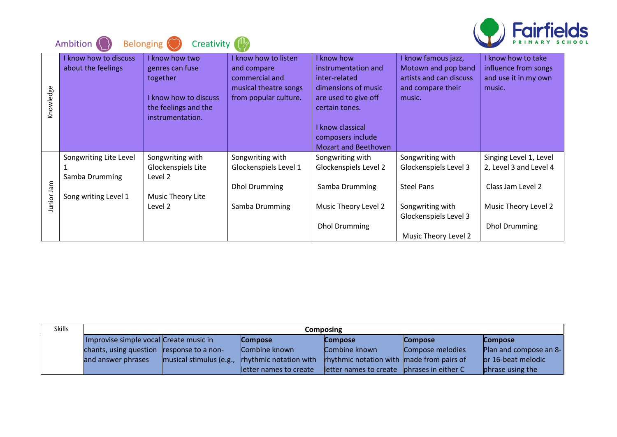

|            | Ambition                                    | Creativity<br><b>Belonging</b>                                                                                     |                                                                                                         |                                                                                                                     |                                                                                                      | <b>ENTERNATION</b>                                                         |
|------------|---------------------------------------------|--------------------------------------------------------------------------------------------------------------------|---------------------------------------------------------------------------------------------------------|---------------------------------------------------------------------------------------------------------------------|------------------------------------------------------------------------------------------------------|----------------------------------------------------------------------------|
| Knowledge  | I know how to discuss<br>about the feelings | I know how two<br>genres can fuse<br>together<br>I know how to discuss<br>the feelings and the<br>instrumentation. | I know how to listen<br>and compare<br>commercial and<br>musical theatre songs<br>from popular culture. | I know how<br>instrumentation and<br>inter-related<br>dimensions of music<br>are used to give off<br>certain tones. | I know famous jazz,<br>Motown and pop band<br>artists and can discuss<br>and compare their<br>music. | know how to take<br>influence from songs<br>and use it in my own<br>music. |
|            |                                             |                                                                                                                    |                                                                                                         | I know classical<br>composers include                                                                               |                                                                                                      |                                                                            |
|            |                                             |                                                                                                                    |                                                                                                         | <b>Mozart and Beethoven</b>                                                                                         |                                                                                                      |                                                                            |
|            | Songwriting Lite Level                      | Songwriting with                                                                                                   | Songwriting with                                                                                        | Songwriting with                                                                                                    | Songwriting with                                                                                     | Singing Level 1, Level                                                     |
|            |                                             | Glockenspiels Lite                                                                                                 | Glockenspiels Level 1                                                                                   | Glockenspiels Level 2                                                                                               | Glockenspiels Level 3                                                                                | 2, Level 3 and Level 4                                                     |
| Junior Jam | Samba Drumming                              | Level 2                                                                                                            | <b>Dhol Drumming</b>                                                                                    | Samba Drumming                                                                                                      | <b>Steel Pans</b>                                                                                    | Class Jam Level 2                                                          |
|            | Song writing Level 1                        | Music Theory Lite                                                                                                  |                                                                                                         |                                                                                                                     |                                                                                                      |                                                                            |
|            |                                             | Level 2                                                                                                            | Samba Drumming                                                                                          | Music Theory Level 2                                                                                                | Songwriting with<br>Glockenspiels Level 3                                                            | Music Theory Level 2                                                       |
|            |                                             |                                                                                                                    |                                                                                                         | <b>Dhol Drumming</b>                                                                                                |                                                                                                      | <b>Dhol Drumming</b>                                                       |
|            |                                             |                                                                                                                    |                                                                                                         |                                                                                                                     | Music Theory Level 2                                                                                 |                                                                            |

| <b>Skills</b> | <b>Composing</b>                       |                         |                               |                                                  |                     |                        |  |  |
|---------------|----------------------------------------|-------------------------|-------------------------------|--------------------------------------------------|---------------------|------------------------|--|--|
|               | Improvise simple vocal Create music in |                         | <b>Compose</b>                | <b>Compose</b>                                   | <b>Compose</b>      | <b>Compose</b>         |  |  |
|               | chants, using question                 | response to a non-      | Combine known                 | Combine known                                    | Compose melodies    | Plan and compose an 8- |  |  |
|               | and answer phrases                     | musical stimulus (e.g., | <b>rhythmic notation with</b> | <b>rhythmic notation with made from pairs of</b> |                     | or 16-beat melodic     |  |  |
|               |                                        |                         | letter names to create        | letter names to create                           | phrases in either C | phrase using the       |  |  |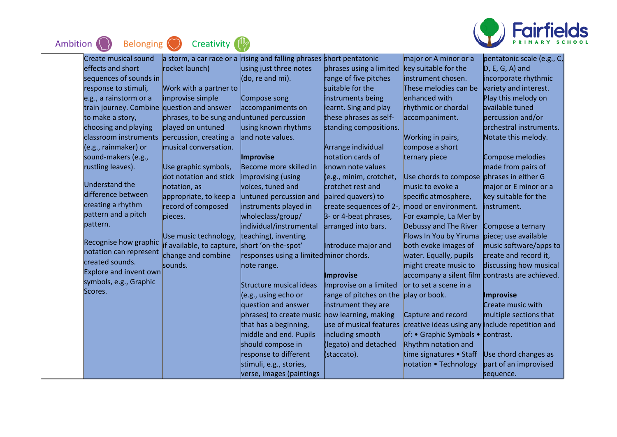



| Create musical sound                       | a storm, a car race or a                   | rising and falling phrases short pentatonic   |                         | major or A minor or a                           | pentatonic scale (e.g., C, |
|--------------------------------------------|--------------------------------------------|-----------------------------------------------|-------------------------|-------------------------------------------------|----------------------------|
| effects and short                          | rocket launch)                             | using just three notes                        | phrases using a limited | key suitable for the                            | $D, E, G, A$ ) and         |
| sequences of sounds in                     |                                            | (do, re and mi).                              | range of five pitches   | instrument chosen.                              | incorporate rhythmic       |
| response to stimuli,                       | Work with a partner to                     |                                               | suitable for the        | These melodies can be                           | variety and interest.      |
| e.g., a rainstorm or a                     | improvise simple                           | Compose song                                  | instruments being       | enhanced with                                   | Play this melody on        |
| train journey. Combine question and answer |                                            | accompaniments on                             | learnt. Sing and play   | rhythmic or chordal                             | available tuned            |
|                                            |                                            |                                               |                         |                                                 |                            |
| to make a story,                           | phrases, to be sung and untuned percussion |                                               | these phrases as self-  | accompaniment.                                  | percussion and/or          |
| choosing and playing                       | played on untuned                          | using known rhythms                           | standing compositions.  |                                                 | orchestral instruments.    |
| classroom instruments                      | percussion, creating a                     | and note values.                              |                         | Working in pairs,                               | Notate this melody.        |
| (e.g., rainmaker) or                       | musical conversation.                      |                                               | Arrange individual      | compose a short                                 |                            |
| sound-makers (e.g.,                        |                                            | Improvise                                     | notation cards of       | ternary piece                                   | Compose melodies           |
| rustling leaves).                          | Use graphic symbols,                       | Become more skilled in                        | known note values       |                                                 | made from pairs of         |
|                                            | dot notation and stick                     | improvising (using                            | (e.g., minim, crotchet, | Use chords to compose phrases in either G       |                            |
| <b>Understand the</b>                      | notation, as                               | voices, tuned and                             | crotchet rest and       | music to evoke a                                | major or E minor or a      |
| difference between                         | appropriate, to keep a                     | untuned percussion and                        | paired quavers) to      | specific atmosphere,                            | key suitable for the       |
| creating a rhythm                          | record of composed                         | instruments played in                         | create sequences of 2-, | mood or environment.                            | instrument.                |
| pattern and a pitch                        | bieces.                                    | wholeclass/group/                             | 3- or 4-beat phrases,   | For example, La Mer by                          |                            |
| pattern.                                   |                                            | individual/instrumental                       | arranged into bars.     | Debussy and The River                           | Compose a ternary          |
|                                            | Use music technology,                      | teaching), inventing                          |                         | Flows In You by Yiruma                          | piece; use available       |
| Recognise how graphic                      | if available, to capture,                  | short 'on-the-spot'                           | Introduce major and     | both evoke images of                            | music software/apps to     |
| notation can represent                     | change and combine                         | responses using a limited minor chords.       |                         | water. Equally, pupils                          | create and record it,      |
| created sounds.                            | sounds.                                    | note range.                                   |                         | might create music to                           | discussing how musical     |
| Explore and invent own                     |                                            |                                               | Improvise               | accompany a silent film contrasts are achieved. |                            |
| symbols, e.g., Graphic                     |                                            | <b>Structure musical ideas</b>                | Improvise on a limited  | or to set a scene in a                          |                            |
| Scores.                                    |                                            | (e.g., using echo or                          | range of pitches on the | play or book.                                   | <b>Improvise</b>           |
|                                            |                                            | question and answer                           | instrument they are     |                                                 | Create music with          |
|                                            |                                            | phrases) to create music now learning, making |                         | Capture and record                              | multiple sections that     |
|                                            |                                            | that has a beginning,                         | use of musical features | creative ideas using any include repetition and |                            |
|                                            |                                            | middle and end. Pupils                        | including smooth        | of: • Graphic Symbols •                         | contrast.                  |
|                                            |                                            | should compose in                             | (legato) and detached   | Rhythm notation and                             |                            |
|                                            |                                            | response to different                         | (staccato).             | time signatures • Staff                         | Use chord changes as       |
|                                            |                                            | stimuli, e.g., stories,                       |                         | notation • Technology                           | part of an improvised      |
|                                            |                                            | verse, images (paintings                      |                         |                                                 | sequence.                  |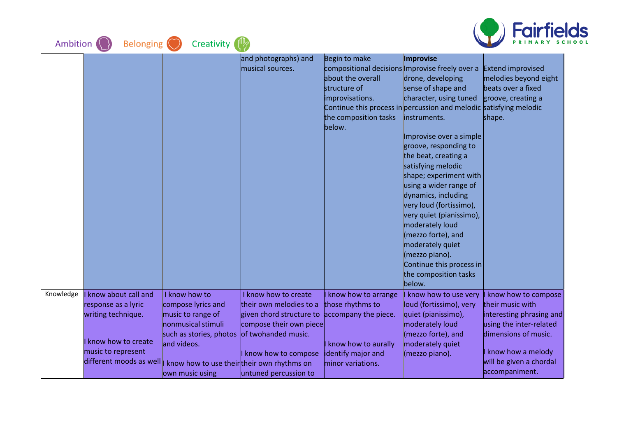| Ambition $\langle \rangle$ | Belonging (O                                  | Creativity (                                |                          |                                                                    |                          | <i><b>Fairfields</b></i> |  |
|----------------------------|-----------------------------------------------|---------------------------------------------|--------------------------|--------------------------------------------------------------------|--------------------------|--------------------------|--|
|                            |                                               |                                             | and photographs) and     | Begin to make                                                      | Improvise                |                          |  |
|                            |                                               |                                             | musical sources.         | compositional decisions Improvise freely over a                    |                          | <b>Extend improvised</b> |  |
|                            |                                               |                                             |                          | about the overall                                                  | drone, developing        | melodies beyond eight    |  |
|                            |                                               |                                             |                          | structure of                                                       | sense of shape and       | beats over a fixed       |  |
|                            |                                               |                                             |                          | improvisations.                                                    | character, using tuned   | groove, creating a       |  |
|                            |                                               |                                             |                          | Continue this process in percussion and melodic satisfying melodic |                          |                          |  |
|                            |                                               |                                             |                          | the composition tasks                                              | instruments.             | shape.                   |  |
|                            |                                               |                                             |                          | below.                                                             |                          |                          |  |
|                            |                                               |                                             |                          |                                                                    | Improvise over a simple  |                          |  |
|                            |                                               |                                             |                          |                                                                    | groove, responding to    |                          |  |
|                            |                                               |                                             |                          |                                                                    | the beat, creating a     |                          |  |
|                            |                                               |                                             |                          |                                                                    | satisfying melodic       |                          |  |
|                            |                                               |                                             |                          |                                                                    | shape; experiment with   |                          |  |
|                            |                                               |                                             |                          |                                                                    | using a wider range of   |                          |  |
|                            |                                               |                                             |                          |                                                                    | dynamics, including      |                          |  |
|                            |                                               |                                             |                          |                                                                    | very loud (fortissimo),  |                          |  |
|                            |                                               |                                             |                          |                                                                    | very quiet (pianissimo), |                          |  |
|                            |                                               |                                             |                          |                                                                    | moderately loud          |                          |  |
|                            |                                               |                                             |                          |                                                                    | (mezzo forte), and       |                          |  |
|                            |                                               |                                             |                          |                                                                    | moderately quiet         |                          |  |
|                            |                                               |                                             |                          |                                                                    | (mezzo piano).           |                          |  |
|                            |                                               |                                             |                          |                                                                    | Continue this process in |                          |  |
|                            |                                               |                                             |                          |                                                                    | the composition tasks    |                          |  |
|                            |                                               |                                             |                          |                                                                    | below.                   |                          |  |
| Knowledge                  | know about call and                           | I know how to                               | I know how to create     | know how to arrange                                                | know how to use very     | know how to compose      |  |
|                            | response as a lyric                           | compose lyrics and                          | their own melodies to a  | those rhythms to                                                   | loud (fortissimo), very  | their music with         |  |
|                            | writing technique.                            | music to range of                           | given chord structure to | accompany the piece.                                               | quiet (pianissimo),      | interesting phrasing and |  |
|                            |                                               | <b>honmusical stimuli</b>                   | compose their own piece  |                                                                    | moderately loud          | using the inter-related  |  |
|                            |                                               | such as stories, photos of twohanded music. |                          |                                                                    | (mezzo forte), and       | dimensions of music.     |  |
|                            | know how to create                            | and videos.                                 |                          | know how to aurally                                                | moderately quiet         |                          |  |
|                            | music to represent<br>different moods as well |                                             | I know how to compose    | identify major and                                                 | (mezzo piano).           | know how a melody        |  |
|                            |                                               | know how to use their their own rhythms on  |                          | minor variations.                                                  |                          | will be given a chordal  |  |
|                            |                                               | own music using                             | untuned percussion to    |                                                                    |                          | accompaniment.           |  |